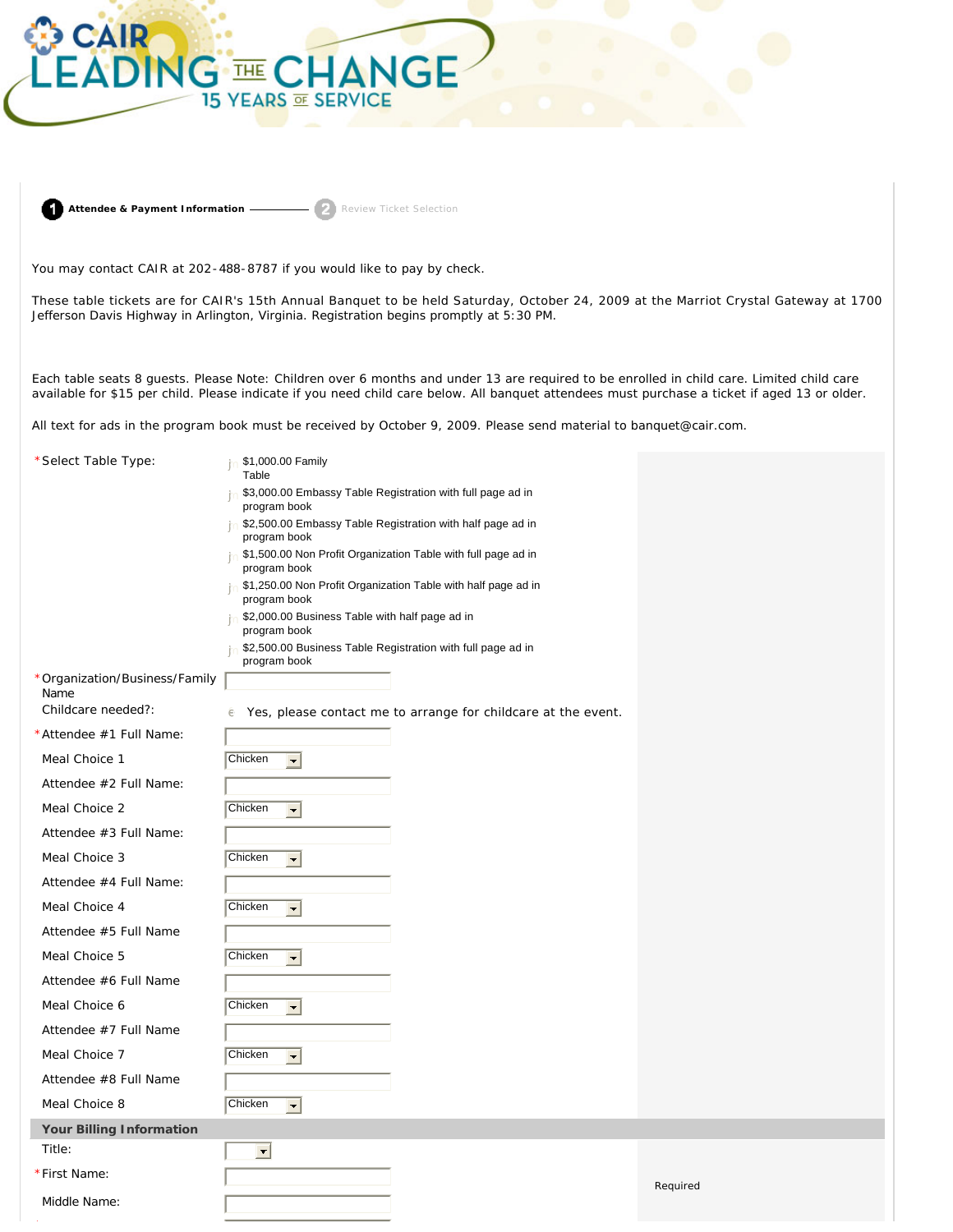

**Attendee & Payment Information** Review Ticket Selection

You may contact CAIR at 202-488-8787 if you would like to pay by check.

These table tickets are for CAIR's 15th Annual Banquet to be held Saturday, October 24, 2009 at the Marriot Crystal Gateway at 1700 Jefferson Davis Highway in Arlington, Virginia. Registration begins promptly at 5:30 PM.

exailable for \$15 per child. Please indicate if you need child care below. All banquet attendees must purchase a ticket if aged 13 or older. available for \$15 per child. Please indicate if you need child care below. All banquet attendees must purchase a ticket if aged 13 or older.

All text for ads in the program book must be received by October 9, 2009. Please send material to banquet@cair.com.

| *Select Table Type:           | \$1,000.00 Family<br>Table                                                    |          |
|-------------------------------|-------------------------------------------------------------------------------|----------|
|                               | \$3,000.00 Embassy Table Registration with full page ad in<br>program book    |          |
|                               | \$2,500.00 Embassy Table Registration with half page ad in                    |          |
|                               | program book<br>\$1,500.00 Non Profit Organization Table with full page ad in |          |
|                               | program book                                                                  |          |
|                               | \$1,250.00 Non Profit Organization Table with half page ad in<br>program book |          |
|                               | \$2,000.00 Business Table with half page ad in<br>program book                |          |
|                               | \$2,500.00 Business Table Registration with full page ad in                   |          |
| *Organization/Business/Family | program book                                                                  |          |
| Name                          |                                                                               |          |
| Childcare needed?:            | è Yes, please contact me to arrange for childcare at the event.               |          |
| *Attendee #1 Full Name:       |                                                                               |          |
| Meal Choice 1                 | Chicken<br>$\vert \textcolor{red}{\bm{\mathsf{r}}}\vert$                      |          |
| Attendee #2 Full Name:        |                                                                               |          |
| Meal Choice 2                 | Chicken<br>$\left  \rule{0pt}{10pt} \right.$                                  |          |
| Attendee #3 Full Name:        |                                                                               |          |
| Meal Choice 3                 | Chicken<br>$\Box$                                                             |          |
| Attendee #4 Full Name:        |                                                                               |          |
| Meal Choice 4                 | Chicken<br>$\blacksquare$                                                     |          |
| Attendee #5 Full Name         |                                                                               |          |
| Meal Choice 5                 | Chicken<br>$\blacksquare$                                                     |          |
| Attendee #6 Full Name         |                                                                               |          |
| Meal Choice 6                 | Chicken<br>$\blacksquare$                                                     |          |
| Attendee #7 Full Name         |                                                                               |          |
| Meal Choice 7                 | Chicken<br>$\left  \cdot \right $                                             |          |
| Attendee #8 Full Name         |                                                                               |          |
| Meal Choice 8                 | Chicken<br>$\left  \rule{0pt}{10pt} \right.$                                  |          |
| Your Billing Information      |                                                                               |          |
| Title:                        | $\blacksquare$                                                                |          |
| *First Name:                  |                                                                               | Required |
| Middle Name:                  |                                                                               |          |